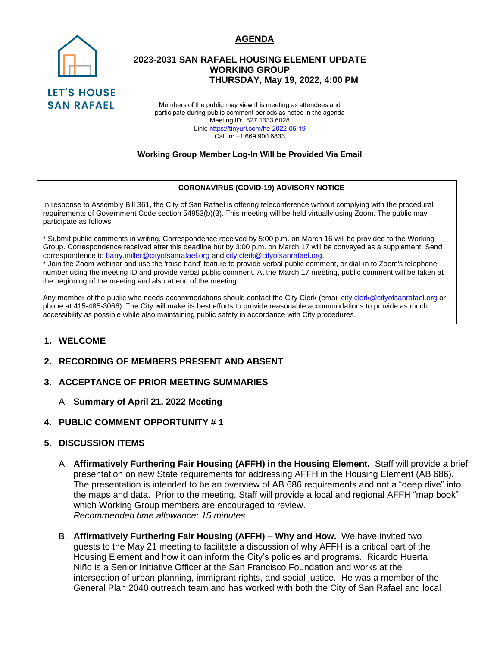### **AGENDA**



## **2023-2031 SAN RAFAEL HOUSING ELEMENT UPDATE WORKING GROUP THURSDAY, May 19, 2022, 4:00 PM**

Members of the public may view this meeting as attendees and participate during public comment periods as noted in the agenda Meeting ID: 827 1333 6028 Link: <https://tinyurl.com/he-2022-05-19> Call in: +1 669 900 6833

#### **Working Group Member Log-In Will be Provided Via Email**

#### **CORONAVIRUS (COVID-19) ADVISORY NOTICE**

In response to Assembly Bill 361, the City of San Rafael is offering teleconference without complying with the procedural requirements of Government Code section 54953(b)(3). This meeting will be held virtually using Zoom. The public may participate as follows:

\* Submit public comments in writing. Correspondence received by 5:00 p.m. on March 16 will be provided to the Working Group. Correspondence received after this deadline but by 3:00 p.m. on March 17 will be conveyed as a supplement. Send correspondence to barry.miller@cityofsanrafael.org and [city.clerk@cityofsanrafael.org.](mailto:city.clerk@cityofsanrafael.org)

\* Join the Zoom webinar and use the 'raise hand' feature to provide verbal public comment, or dial-in to Zoom's telephone number using the meeting ID and provide verbal public comment. At the March 17 meeting, public comment will be taken at the beginning of the meeting and also at end of the meeting.

Any member of the public who needs accommodations should contact the City Clerk (email city.clerk@cityofsanrafael.org or phone at 415-485-3066). The City will make its best efforts to provide reasonable accommodations to provide as much accessibility as possible while also maintaining public safety in accordance with City procedures.

### **1. WELCOME**

### **2. RECORDING OF MEMBERS PRESENT AND ABSENT**

### **3. ACCEPTANCE OF PRIOR MEETING SUMMARIES**

- A. **Summary of April 21, 2022 Meeting**
- **4. PUBLIC COMMENT OPPORTUNITY # 1**

### **5. DISCUSSION ITEMS**

- A. **Affirmatively Furthering Fair Housing (AFFH) in the Housing Element.** Staff will provide a brief presentation on new State requirements for addressing AFFH in the Housing Element (AB 686). The presentation is intended to be an overview of AB 686 requirements and not a "deep dive" into the maps and data. Prior to the meeting, Staff will provide a local and regional AFFH "map book" which Working Group members are encouraged to review. *Recommended time allowance: 15 minutes*
- B. **Affirmatively Furthering Fair Housing (AFFH) – Why and How.** We have invited two guests to the May 21 meeting to facilitate a discussion of why AFFH is a critical part of the Housing Element and how it can inform the City's policies and programs. Ricardo Huerta Niño is a Senior Initiative Officer at the San Francisco Foundation and works at the intersection of urban planning, immigrant rights, and social justice. He was a member of the General Plan 2040 outreach team and has worked with both the City of San Rafael and local